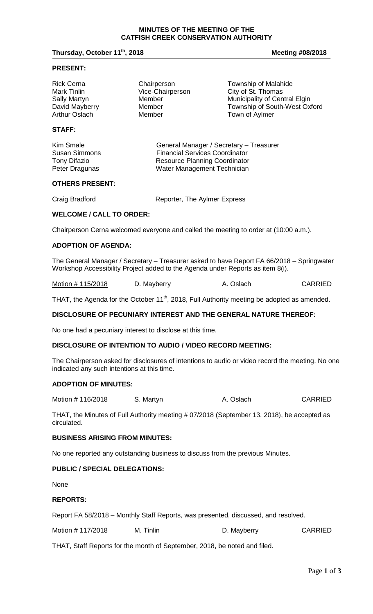## **Thursday, October 11<sup>th</sup>, 2018 Meeting #08/2018 Meeting #08/2018**

### **PRESENT:**

| Rick Cerna<br>Mark Tinlin | Chairperson<br>Vice-Chairperson | Township of Malahide          |
|---------------------------|---------------------------------|-------------------------------|
| Sally Martyn              | Member                          | City of St. Thomas            |
|                           |                                 | Municipality of Central Elgin |
| David Mayberry            | Member                          | Township of South-West Oxford |
| Arthur Oslach             | Member                          | Town of Aylmer                |
| <b>STAFF:</b>             |                                 |                               |
|                           |                                 |                               |

| Kim Smale            | General Manager / Secretary - Treasurer |
|----------------------|-----------------------------------------|
| <b>Susan Simmons</b> | <b>Financial Services Coordinator</b>   |
| Tony Difazio         | Resource Planning Coordinator           |
| Peter Dragunas       | Water Management Technician             |

### **OTHERS PRESENT:**

Craig Bradford **Reporter**, The Aylmer Express

### **WELCOME / CALL TO ORDER:**

Chairperson Cerna welcomed everyone and called the meeting to order at (10:00 a.m.).

# **ADOPTION OF AGENDA:**

The General Manager / Secretary – Treasurer asked to have Report FA 66/2018 – Springwater Workshop Accessibility Project added to the Agenda under Reports as item 8(i).

Motion # 115/2018 D. Mayberry A. Oslach CARRIED

THAT, the Agenda for the October 11<sup>th</sup>, 2018, Full Authority meeting be adopted as amended.

## **DISCLOSURE OF PECUNIARY INTEREST AND THE GENERAL NATURE THEREOF:**

No one had a pecuniary interest to disclose at this time.

### **DISCLOSURE OF INTENTION TO AUDIO / VIDEO RECORD MEETING:**

The Chairperson asked for disclosures of intentions to audio or video record the meeting. No one indicated any such intentions at this time.

### **ADOPTION OF MINUTES:**

| Motion # 116/2018 | S. Martyn | A. Oslach | <b>CARRIED</b> |
|-------------------|-----------|-----------|----------------|
|-------------------|-----------|-----------|----------------|

THAT, the Minutes of Full Authority meeting # 07/2018 (September 13, 2018), be accepted as circulated.

#### **BUSINESS ARISING FROM MINUTES:**

No one reported any outstanding business to discuss from the previous Minutes.

## **PUBLIC / SPECIAL DELEGATIONS:**

None

#### **REPORTS:**

Report FA 58/2018 – Monthly Staff Reports, was presented, discussed, and resolved.

| Motion #117/2018 | M. Tinlin | D. Mayberry | <b>CARRIED</b> |
|------------------|-----------|-------------|----------------|
|------------------|-----------|-------------|----------------|

THAT, Staff Reports for the month of September, 2018, be noted and filed.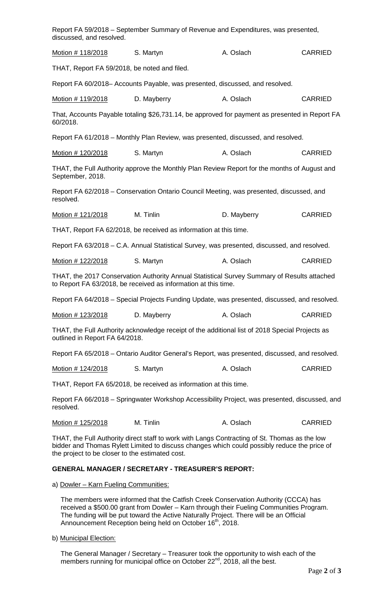| discussed, and resolved.                                                                                                                                                                                                                         | Report FA 59/2018 - September Summary of Revenue and Expenditures, was presented,                                                                             |             |                |
|--------------------------------------------------------------------------------------------------------------------------------------------------------------------------------------------------------------------------------------------------|---------------------------------------------------------------------------------------------------------------------------------------------------------------|-------------|----------------|
| Motion # 118/2018                                                                                                                                                                                                                                | S. Martyn                                                                                                                                                     | A. Oslach   | <b>CARRIED</b> |
| THAT, Report FA 59/2018, be noted and filed.                                                                                                                                                                                                     |                                                                                                                                                               |             |                |
|                                                                                                                                                                                                                                                  | Report FA 60/2018– Accounts Payable, was presented, discussed, and resolved.                                                                                  |             |                |
| Motion # 119/2018                                                                                                                                                                                                                                | D. Mayberry                                                                                                                                                   | A. Oslach   | <b>CARRIED</b> |
| 60/2018.                                                                                                                                                                                                                                         | That, Accounts Payable totaling \$26,731.14, be approved for payment as presented in Report FA                                                                |             |                |
|                                                                                                                                                                                                                                                  | Report FA 61/2018 – Monthly Plan Review, was presented, discussed, and resolved.                                                                              |             |                |
| Motion # 120/2018                                                                                                                                                                                                                                | S. Martyn                                                                                                                                                     | A. Oslach   | <b>CARRIED</b> |
| September, 2018.                                                                                                                                                                                                                                 | THAT, the Full Authority approve the Monthly Plan Review Report for the months of August and                                                                  |             |                |
| resolved.                                                                                                                                                                                                                                        | Report FA 62/2018 - Conservation Ontario Council Meeting, was presented, discussed, and                                                                       |             |                |
| Motion # 121/2018                                                                                                                                                                                                                                | M. Tinlin                                                                                                                                                     | D. Mayberry | <b>CARRIED</b> |
|                                                                                                                                                                                                                                                  | THAT, Report FA 62/2018, be received as information at this time.                                                                                             |             |                |
|                                                                                                                                                                                                                                                  | Report FA 63/2018 – C.A. Annual Statistical Survey, was presented, discussed, and resolved.                                                                   |             |                |
| Motion # 122/2018                                                                                                                                                                                                                                | S. Martyn                                                                                                                                                     | A. Oslach   | <b>CARRIED</b> |
|                                                                                                                                                                                                                                                  | THAT, the 2017 Conservation Authority Annual Statistical Survey Summary of Results attached<br>to Report FA 63/2018, be received as information at this time. |             |                |
|                                                                                                                                                                                                                                                  | Report FA 64/2018 - Special Projects Funding Update, was presented, discussed, and resolved.                                                                  |             |                |
| Motion # 123/2018                                                                                                                                                                                                                                | D. Mayberry                                                                                                                                                   | A. Oslach   | <b>CARRIED</b> |
| outlined in Report FA 64/2018.                                                                                                                                                                                                                   | THAT, the Full Authority acknowledge receipt of the additional list of 2018 Special Projects as                                                               |             |                |
|                                                                                                                                                                                                                                                  | Report FA 65/2018 – Ontario Auditor General's Report, was presented, discussed, and resolved.                                                                 |             |                |
| Motion # 124/2018                                                                                                                                                                                                                                | S. Martyn                                                                                                                                                     | A. Oslach   | <b>CARRIED</b> |
|                                                                                                                                                                                                                                                  | THAT, Report FA 65/2018, be received as information at this time.                                                                                             |             |                |
| resolved.                                                                                                                                                                                                                                        | Report FA 66/2018 – Springwater Workshop Accessibility Project, was presented, discussed, and                                                                 |             |                |
| <u>Motion # 125/2018</u>                                                                                                                                                                                                                         | M. Tinlin                                                                                                                                                     | A. Oslach   | <b>CARRIED</b> |
| THAT, the Full Authority direct staff to work with Langs Contracting of St. Thomas as the low<br>bidder and Thomas Rylett Limited to discuss changes which could possibly reduce the price of<br>the project to be closer to the estimated cost. |                                                                                                                                                               |             |                |
|                                                                                                                                                                                                                                                  | <b>GENERAL MANAGER / SECRETARY - TREASURER'S REPORT:</b>                                                                                                      |             |                |

a) Dowler - Karn Fueling Communities:

The members were informed that the Catfish Creek Conservation Authority (CCCA) has received a \$500.00 grant from Dowler – Karn through their Fueling Communities Program. The funding will be put toward the Active Naturally Project. There will be an Official Announcement Reception being held on October 16<sup>th</sup>, 2018.

b) Municipal Election:

The General Manager / Secretary – Treasurer took the opportunity to wish each of the members running for municipal office on October 22<sup>nd</sup>, 2018, all the best.